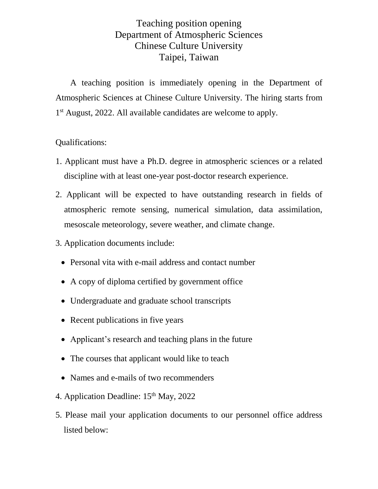## Teaching position opening Department of Atmospheric Sciences Chinese Culture University Taipei, Taiwan

A teaching position is immediately opening in the Department of Atmospheric Sciences at Chinese Culture University. The hiring starts from 1 st August, 2022. All available candidates are welcome to apply.

## Qualifications:

- 1. Applicant must have a Ph.D. degree in atmospheric sciences or a related discipline with at least one-year post-doctor research experience.
- 2. Applicant will be expected to have outstanding research in fields of atmospheric remote sensing, numerical simulation, data assimilation, mesoscale meteorology, severe weather, and climate change.
- 3. Application documents include:
	- Personal vita with e-mail address and contact number
	- A copy of diploma certified by government office
	- Undergraduate and graduate school transcripts
	- Recent publications in five years
	- Applicant's research and teaching plans in the future
	- The courses that applicant would like to teach
	- Names and e-mails of two recommenders
- 4. Application Deadline: 15<sup>th</sup> May, 2022
- 5. Please mail your application documents to our personnel office address listed below: